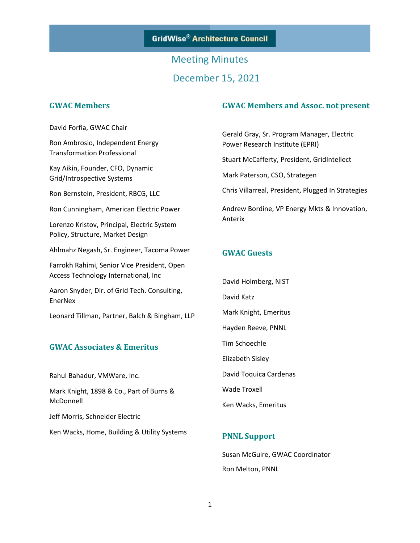# Meeting Minutes December 15, 2021

#### **GWAC Members**

David Forfia, GWAC Chair

Ron Ambrosio, Independent Energy Transformation Professional

Kay Aikin, Founder, CFO, Dynamic Grid/Introspective Systems

Ron Bernstein, President, RBCG, LLC

Ron Cunningham, American Electric Power

Lorenzo Kristov, Principal, Electric System Policy, Structure, Market Design

Ahlmahz Negash, Sr. Engineer, Tacoma Power

Farrokh Rahimi, Senior Vice President, Open Access Technology International, Inc

Aaron Snyder, Dir. of Grid Tech. Consulting, EnerNex

Leonard Tillman, Partner, Balch & Bingham, LLP

#### **GWAC Associates & Emeritus**

Rahul Bahadur, VMWare, Inc.

Mark Knight, 1898 & Co., Part of Burns & McDonnell

Jeff Morris, Schneider Electric

Ken Wacks, Home, Building & Utility Systems

#### **GWAC Members and Assoc. not present**

Gerald Gray, Sr. Program Manager, Electric Power Research Institute (EPRI)

Stuart McCafferty, President, GridIntellect

Mark Paterson, CSO, Strategen

Chris Villarreal, President, Plugged In Strategies

Andrew Bordine, VP Energy Mkts & Innovation, Anterix

#### **GWAC Guests**

David Holmberg, NIST David Katz Mark Knight, Emeritus Hayden Reeve, PNNL Tim Schoechle Elizabeth Sisley David Toquica Cardenas Wade Troxell Ken Wacks, Emeritus

#### **PNNL Support**

Susan McGuire, GWAC Coordinator Ron Melton, PNNL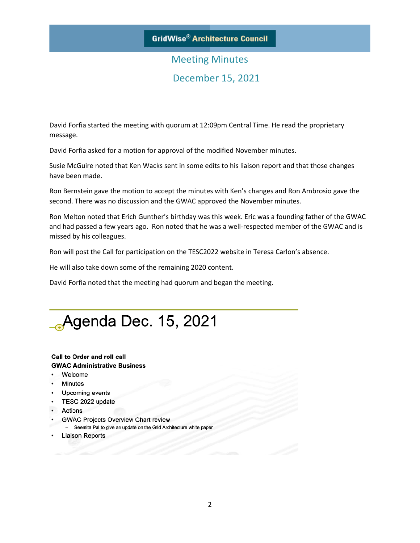### **GridWise® Architecture Council**

## Meeting Minutes December 15, 2021

David Forfia started the meeting with quorum at 12:09pm Central Time. He read the proprietary message.

David Forfia asked for a motion for approval of the modified November minutes.

Susie McGuire noted that Ken Wacks sent in some edits to his liaison report and that those changes have been made.

Ron Bernstein gave the motion to accept the minutes with Ken's changes and Ron Ambrosio gave the second. There was no discussion and the GWAC approved the November minutes.

Ron Melton noted that Erich Gunther's birthday was this week. Eric was a founding father of the GWAC and had passed a few years ago. Ron noted that he was a well-respected member of the GWAC and is missed by his colleagues.

Ron will post the Call for participation on the TESC2022 website in Teresa Carlon's absence.

He will also take down some of the remaining 2020 content.

David Forfia noted that the meeting had quorum and began the meeting.



#### Call to Order and roll call **GWAC Administrative Business**

- Welcome
- Minutes
- Upcoming events
- TESC 2022 update
- Actions
- GWAC Projects Overview Chart review
- Seemita Pal to give an update on the Grid Architecture white paper
- Liaison Reports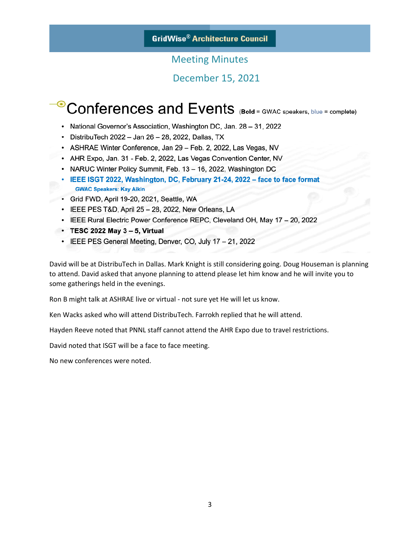### **GridWise® Architecture Council**

### Meeting Minutes

### December 15, 2021

# Conferences and Events (Bold = GWAC speakers, blue = complete)

- National Governor's Association, Washington DC, Jan. 28 31, 2022
- DistribuTech 2022 Jan 26 28, 2022, Dallas, TX
- ASHRAE Winter Conference, Jan 29 Feb. 2, 2022, Las Vegas, NV
- AHR Expo, Jan. 31 Feb. 2, 2022, Las Vegas Convention Center, NV
- NARUC Winter Policy Summit, Feb. 13 16, 2022, Washington DC
- · IEEE ISGT 2022, Washington, DC, February 21-24, 2022 face to face format **GWAC Speakers: Kay Aikin**
- Grid FWD, April 19-20, 2021, Seattle, WA
- IEEE PES T&D, April 25 28, 2022, New Orleans, LA
- IEEE Rural Electric Power Conference REPC, Cleveland OH, May 17 20, 2022
- $\cdot$  TESC 2022 May 3 5, Virtual
	- IEEE PES General Meeting, Denver, CO, July 17 21, 2022

David will be at DistribuTech in Dallas. Mark Knight is still considering going. Doug Houseman is planning to attend. David asked that anyone planning to attend please let him know and he will invite you to some gatherings held in the evenings.

Ron B might talk at ASHRAE live or virtual - not sure yet He will let us know.

Ken Wacks asked who will attend DistribuTech. Farrokh replied that he will attend.

Hayden Reeve noted that PNNL staff cannot attend the AHR Expo due to travel restrictions.

David noted that ISGT will be a face to face meeting.

No new conferences were noted.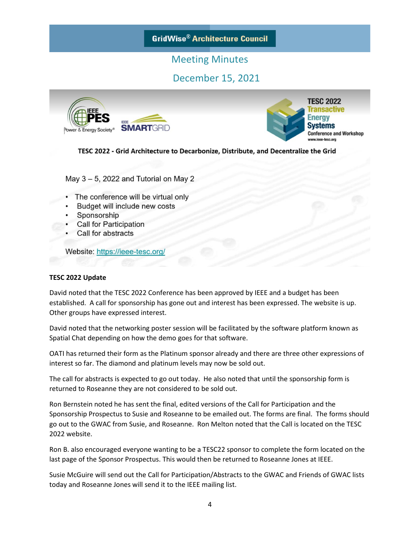**GridWise® Architecture Council** 

### Meeting Minutes

### December 15, 2021



**TESC 2022 Transactive** nergy vstems **Conference and Workshop** 

TESC 2022 - Grid Architecture to Decarbonize, Distribute, and Decentralize the Grid

May  $3 - 5$ , 2022 and Tutorial on May 2

- The conference will be virtual only
- Budget will include new costs
- Sponsorship
- **Call for Participation**
- Call for abstracts

Website: https://ieee-tesc.org/

#### **TESC 2022 Update**

David noted that the TESC 2022 Conference has been approved by IEEE and a budget has been established. A call for sponsorship has gone out and interest has been expressed. The website is up. Other groups have expressed interest.

David noted that the networking poster session will be facilitated by the software platform known as Spatial Chat depending on how the demo goes for that software.

OATI has returned their form as the Platinum sponsor already and there are three other expressions of interest so far. The diamond and platinum levels may now be sold out.

The call for abstracts is expected to go out today. He also noted that until the sponsorship form is returned to Roseanne they are not considered to be sold out.

Ron Bernstein noted he has sent the final, edited versions of the Call for Participation and the Sponsorship Prospectus to Susie and Roseanne to be emailed out. The forms are final. The forms should go out to the GWAC from Susie, and Roseanne. Ron Melton noted that the Call is located on the TESC 2022 website.

Ron B. also encouraged everyone wanting to be a TESC22 sponsor to complete the form located on the last page of the Sponsor Prospectus. This would then be returned to Roseanne Jones at IEEE.

Susie McGuire will send out the Call for Participation/Abstracts to the GWAC and Friends of GWAC lists today and Roseanne Jones will send it to the IEEE mailing list.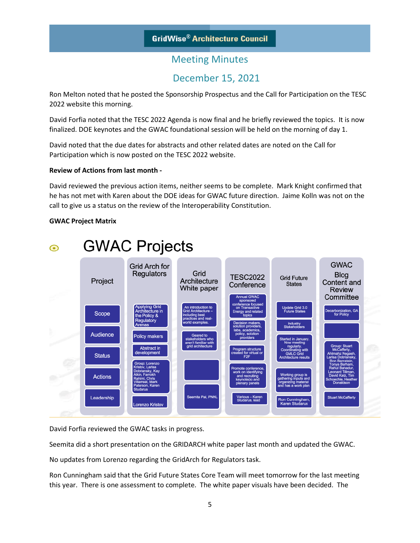### December 15, 2021

Ron Melton noted that he posted the Sponsorship Prospectus and the Call for Participation on the TESC 2022 website this morning.

David Forfia noted that the TESC 2022 Agenda is now final and he briefly reviewed the topics. It is now finalized. DOE keynotes and the GWAC foundational session will be held on the morning of day 1.

David noted that the due dates for abstracts and other related dates are noted on the Call for Participation which is now posted on the TESC 2022 website.

#### **Review of Actions from last month -**

David reviewed the previous action items, neither seems to be complete. Mark Knight confirmed that he has not met with Karen about the DOE ideas for GWAC future direction. Jaime Kolln was not on the call to give us a status on the review of the Interoperability Constitution.

#### **GWAC Project Matrix**



David Forfia reviewed the GWAC tasks in progress.

Seemita did a short presentation on the GRIDARCH white paper last month and updated the GWAC.

No updates from Lorenzo regarding the GridArch for Regulators task.

Ron Cunningham said that the Grid Future States Core Team will meet tomorrow for the last meeting this year. There is one assessment to complete. The white paper visuals have been decided. The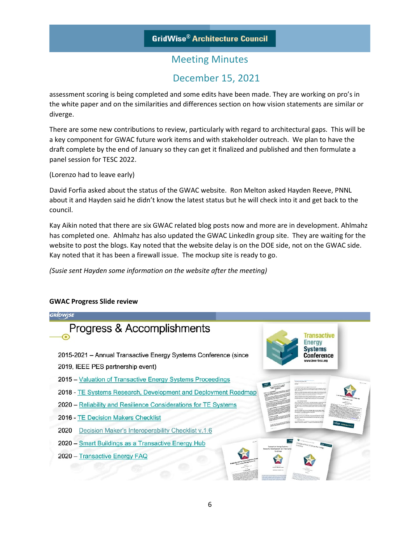### December 15, 2021

assessment scoring is being completed and some edits have been made. They are working on pro's in the white paper and on the similarities and differences section on how vision statements are similar or diverge.

There are some new contributions to review, particularly with regard to architectural gaps. This will be a key component for GWAC future work items and with stakeholder outreach. We plan to have the draft complete by the end of January so they can get it finalized and published and then formulate a panel session for TESC 2022.

(Lorenzo had to leave early)

David Forfia asked about the status of the GWAC website. Ron Melton asked Hayden Reeve, PNNL about it and Hayden said he didn't know the latest status but he will check into it and get back to the council.

Kay Aikin noted that there are six GWAC related blog posts now and more are in development. Ahlmahz has completed one. Ahlmahz has also updated the GWAC LinkedIn group site. They are waiting for the website to post the blogs. Kay noted that the website delay is on the DOE side, not on the GWAC side. Kay noted that it has been a firewall issue. The mockup site is ready to go.

*(Susie sent Hayden some information on the website after the meeting)*

### **GRÍDWISE** Progress & Accomplishments **Transactive Energy** Systems 2015-2021 - Annual Transactive Energy Systems Conference (since **Conference** 2019, IEEE PES partnership event) 2015 - Valuation of Transactive Energy Systems Proceedings 2018 - TE Systems Research, Development and Deployment Roadmap 2020 - Reliability and Resilience Considerations for TE Systems 2016 - TE Decision Makers Checklist 2020 Decision Maker's Interoperability Checklist v.1.6 2020 - Smart Buildings as a Transactive Energy Hub 2020 - Transactive Energy FAQ

#### **GWAC Progress Slide review**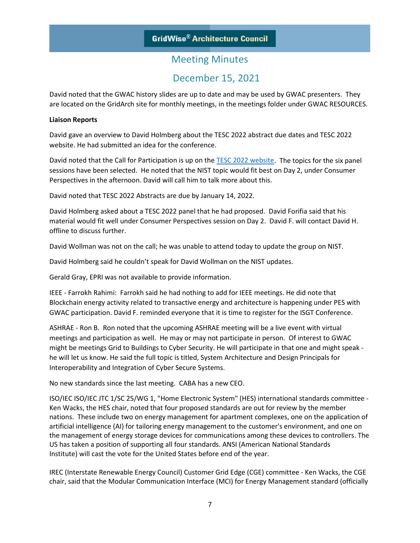### December 15, 2021

David noted that the GWAC history slides are up to date and may be used by GWAC presenters. They are located on the GridArch site for monthly meetings, in the meetings folder under GWAC RESOURCES.

#### **Liaison Reports**

David gave an overview to David Holmberg about the TESC 2022 abstract due dates and TESC 2022 website. He had submitted an idea for the conference.

David noted that the Call for Participation is up on th[e TESC 2022 website.](https://ieee-tesc.org/) The topics for the six panel sessions have been selected. He noted that the NIST topic would fit best on Day 2, under Consumer Perspectives in the afternoon. David will call him to talk more about this.

David noted that TESC 2022 Abstracts are due by January 14, 2022.

David Holmberg asked about a TESC 2022 panel that he had proposed. David Forifia said that his material would fit well under Consumer Perspectives session on Day 2. David F. will contact David H. offline to discuss further.

David Wollman was not on the call; he was unable to attend today to update the group on NIST.

David Holmberg said he couldn't speak for David Wollman on the NIST updates.

Gerald Gray, EPRI was not available to provide information.

IEEE - Farrokh Rahimi: Farrokh said he had nothing to add for IEEE meetings. He did note that Blockchain energy activity related to transactive energy and architecture is happening under PES with GWAC participation. David F. reminded everyone that it is time to register for the ISGT Conference.

ASHRAE - Ron B. Ron noted that the upcoming ASHRAE meeting will be a live event with virtual meetings and participation as well. He may or may not participate in person. Of interest to GWAC might be meetings Grid to Buildings to Cyber Security. He will participate in that one and might speak he will let us know. He said the full topic is titled, System Architecture and Design Principals for Interoperability and Integration of Cyber Secure Systems.

No new standards since the last meeting. CABA has a new CEO.

ISO/IEC ISO/IEC JTC 1/SC 25/WG 1, "Home Electronic System" (HES) international standards committee - Ken Wacks, the HES chair, noted that four proposed standards are out for review by the member nations. These include two on energy management for apartment complexes, one on the application of artificial intelligence (AI) for tailoring energy management to the customer's environment, and one on the management of energy storage devices for communications among these devices to controllers. The US has taken a position of supporting all four standards. ANSI (American National Standards Institute) will cast the vote for the United States before end of the year.

IREC (Interstate Renewable Energy Council) Customer Grid Edge (CGE) committee - Ken Wacks, the CGE chair, said that the Modular Communication Interface (MCI) for Energy Management standard (officially